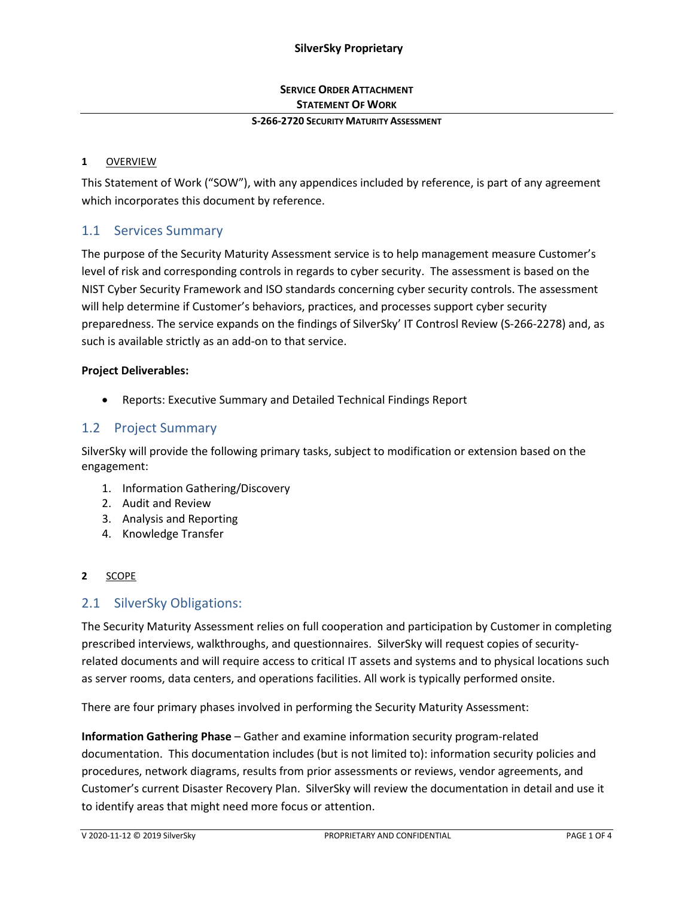## **SERVICE ORDER ATTACHMENT STATEMENT OF WORK**

#### **S-266-2720 SECURITY MATURITY ASSESSMENT**

#### **1** OVERVIEW

This Statement of Work ("SOW"), with any appendices included by reference, is part of any agreement which incorporates this document by reference.

## 1.1 Services Summary

The purpose of the Security Maturity Assessment service is to help management measure Customer's level of risk and corresponding controls in regards to cyber security. The assessment is based on the NIST Cyber Security Framework and ISO standards concerning cyber security controls. The assessment will help determine if Customer's behaviors, practices, and processes support cyber security preparedness. The service expands on the findings of SilverSky' IT Controsl Review (S-266-2278) and, as such is available strictly as an add-on to that service.

#### **Project Deliverables:**

• Reports: Executive Summary and Detailed Technical Findings Report

### 1.2 Project Summary

SilverSky will provide the following primary tasks, subject to modification or extension based on the engagement:

- 1. Information Gathering/Discovery
- 2. Audit and Review
- 3. Analysis and Reporting
- 4. Knowledge Transfer

#### **2** SCOPE

### 2.1 SilverSky Obligations:

The Security Maturity Assessment relies on full cooperation and participation by Customer in completing prescribed interviews, walkthroughs, and questionnaires. SilverSky will request copies of securityrelated documents and will require access to critical IT assets and systems and to physical locations such as server rooms, data centers, and operations facilities. All work is typically performed onsite.

There are four primary phases involved in performing the Security Maturity Assessment:

**Information Gathering Phase** – Gather and examine information security program-related documentation. This documentation includes (but is not limited to): information security policies and procedures, network diagrams, results from prior assessments or reviews, vendor agreements, and Customer's current Disaster Recovery Plan. SilverSky will review the documentation in detail and use it to identify areas that might need more focus or attention.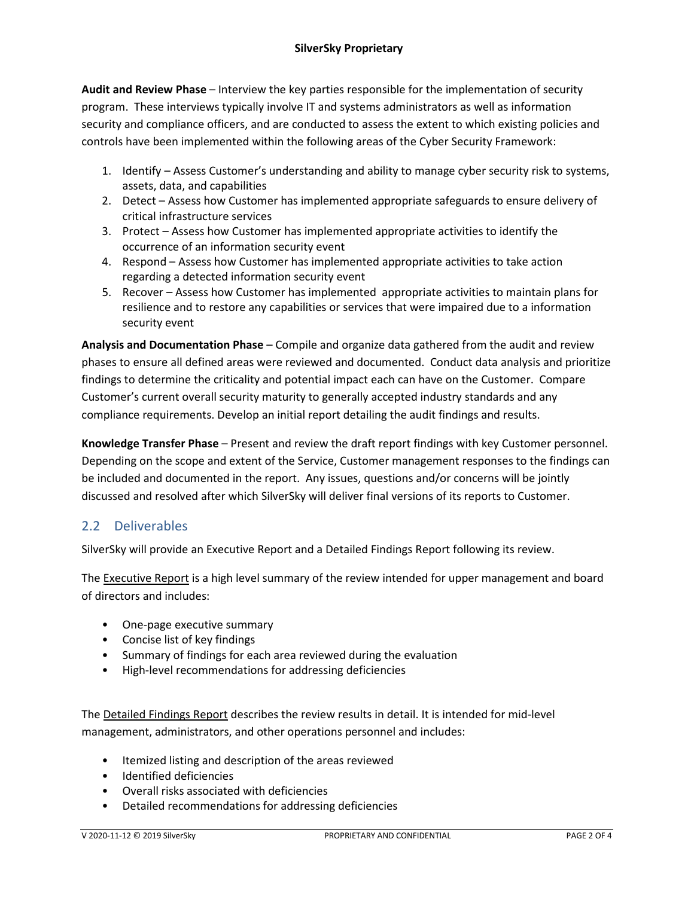**Audit and Review Phase** – Interview the key parties responsible for the implementation of security program. These interviews typically involve IT and systems administrators as well as information security and compliance officers, and are conducted to assess the extent to which existing policies and controls have been implemented within the following areas of the Cyber Security Framework:

- 1. Identify Assess Customer's understanding and ability to manage cyber security risk to systems, assets, data, and capabilities
- 2. Detect Assess how Customer has implemented appropriate safeguards to ensure delivery of critical infrastructure services
- 3. Protect Assess how Customer has implemented appropriate activities to identify the occurrence of an information security event
- 4. Respond Assess how Customer has implemented appropriate activities to take action regarding a detected information security event
- 5. Recover Assess how Customer has implemented appropriate activities to maintain plans for resilience and to restore any capabilities or services that were impaired due to a information security event

**Analysis and Documentation Phase** – Compile and organize data gathered from the audit and review phases to ensure all defined areas were reviewed and documented. Conduct data analysis and prioritize findings to determine the criticality and potential impact each can have on the Customer. Compare Customer's current overall security maturity to generally accepted industry standards and any compliance requirements. Develop an initial report detailing the audit findings and results.

**Knowledge Transfer Phase** – Present and review the draft report findings with key Customer personnel. Depending on the scope and extent of the Service, Customer management responses to the findings can be included and documented in the report. Any issues, questions and/or concerns will be jointly discussed and resolved after which SilverSky will deliver final versions of its reports to Customer.

# 2.2 Deliverables

SilverSky will provide an Executive Report and a Detailed Findings Report following its review.

The **Executive Report** is a high level summary of the review intended for upper management and board of directors and includes:

- One-page executive summary
- Concise list of key findings
- Summary of findings for each area reviewed during the evaluation
- High-level recommendations for addressing deficiencies

The Detailed Findings Report describes the review results in detail. It is intended for mid-level management, administrators, and other operations personnel and includes:

- Itemized listing and description of the areas reviewed
- Identified deficiencies
- Overall risks associated with deficiencies
- Detailed recommendations for addressing deficiencies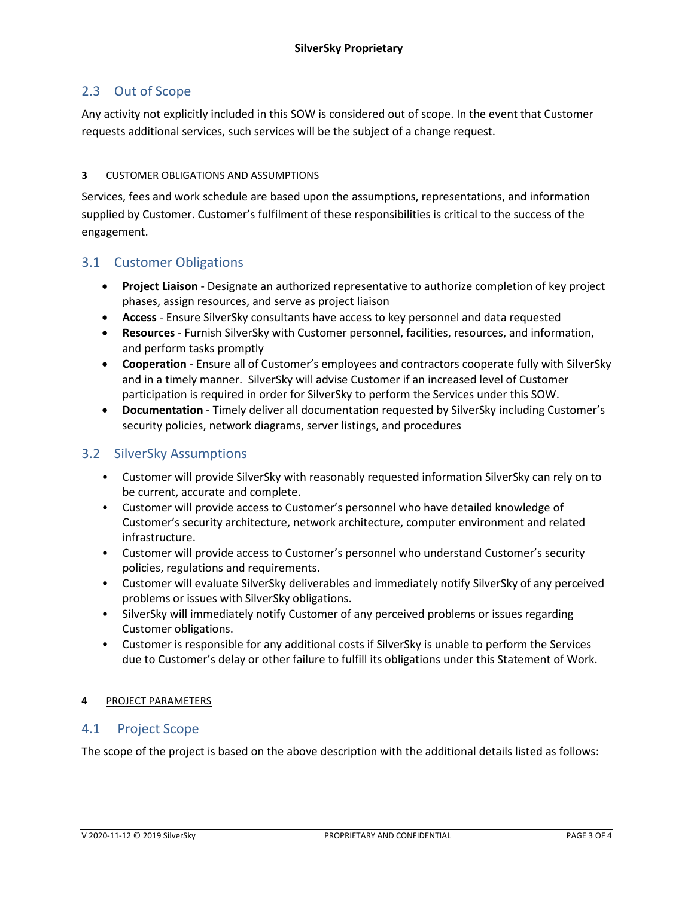## 2.3 Out of Scope

Any activity not explicitly included in this SOW is considered out of scope. In the event that Customer requests additional services, such services will be the subject of a change request.

#### **3** CUSTOMER OBLIGATIONS AND ASSUMPTIONS

Services, fees and work schedule are based upon the assumptions, representations, and information supplied by Customer. Customer's fulfilment of these responsibilities is critical to the success of the engagement.

## 3.1 Customer Obligations

- **Project Liaison** Designate an authorized representative to authorize completion of key project phases, assign resources, and serve as project liaison
- **Access**  Ensure SilverSky consultants have access to key personnel and data requested
- **Resources** Furnish SilverSky with Customer personnel, facilities, resources, and information, and perform tasks promptly
- **Cooperation** Ensure all of Customer's employees and contractors cooperate fully with SilverSky and in a timely manner. SilverSky will advise Customer if an increased level of Customer participation is required in order for SilverSky to perform the Services under this SOW.
- **Documentation** Timely deliver all documentation requested by SilverSky including Customer's security policies, network diagrams, server listings, and procedures

## 3.2 SilverSky Assumptions

- Customer will provide SilverSky with reasonably requested information SilverSky can rely on to be current, accurate and complete.
- Customer will provide access to Customer's personnel who have detailed knowledge of Customer's security architecture, network architecture, computer environment and related infrastructure.
- Customer will provide access to Customer's personnel who understand Customer's security policies, regulations and requirements.
- Customer will evaluate SilverSky deliverables and immediately notify SilverSky of any perceived problems or issues with SilverSky obligations.
- SilverSky will immediately notify Customer of any perceived problems or issues regarding Customer obligations.
- Customer is responsible for any additional costs if SilverSky is unable to perform the Services due to Customer's delay or other failure to fulfill its obligations under this Statement of Work.

#### **4** PROJECT PARAMETERS

#### 4.1 Project Scope

The scope of the project is based on the above description with the additional details listed as follows: